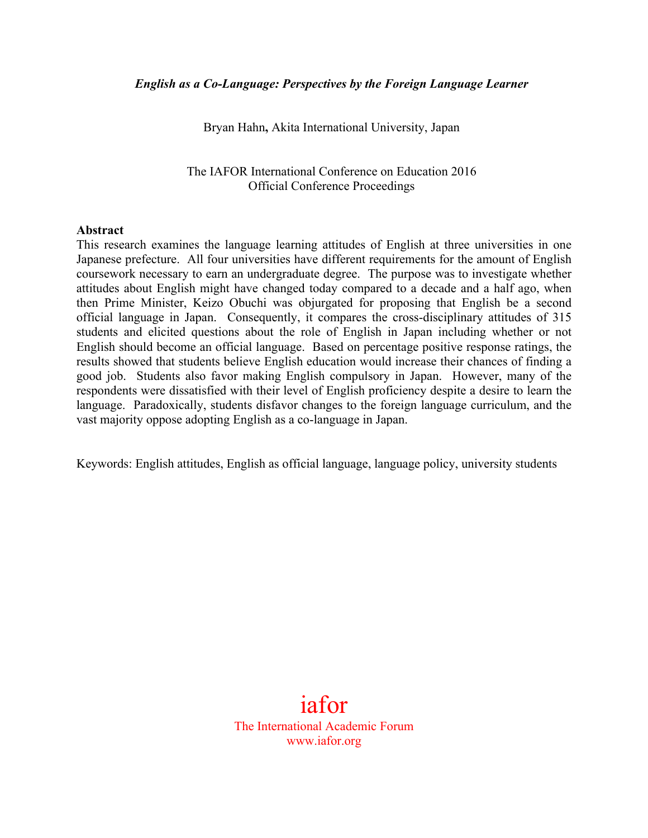Bryan Hahn**,** Akita International University, Japan

The IAFOR International Conference on Education 2016 Official Conference Proceedings

### **Abstract**

This research examines the language learning attitudes of English at three universities in one Japanese prefecture. All four universities have different requirements for the amount of English coursework necessary to earn an undergraduate degree. The purpose was to investigate whether attitudes about English might have changed today compared to a decade and a half ago, when then Prime Minister, Keizo Obuchi was objurgated for proposing that English be a second official language in Japan. Consequently, it compares the cross-disciplinary attitudes of 315 students and elicited questions about the role of English in Japan including whether or not English should become an official language. Based on percentage positive response ratings, the results showed that students believe English education would increase their chances of finding a good job. Students also favor making English compulsory in Japan. However, many of the respondents were dissatisfied with their level of English proficiency despite a desire to learn the language. Paradoxically, students disfavor changes to the foreign language curriculum, and the vast majority oppose adopting English as a co-language in Japan.

Keywords: English attitudes, English as official language, language policy, university students

# iafor The International Academic Forum www.iafor.org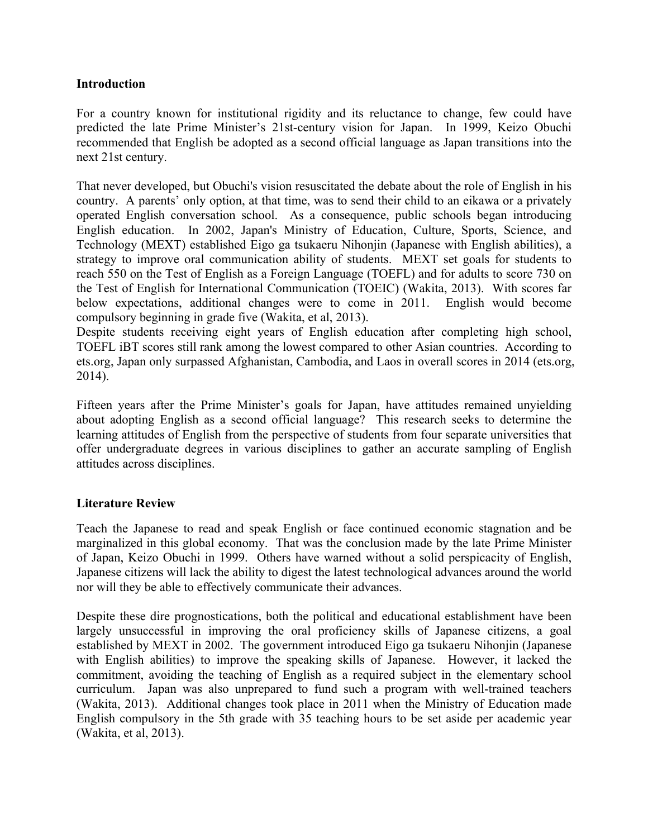# **Introduction**

For a country known for institutional rigidity and its reluctance to change, few could have predicted the late Prime Minister's 21st-century vision for Japan. In 1999, Keizo Obuchi recommended that English be adopted as a second official language as Japan transitions into the next 21st century.

That never developed, but Obuchi's vision resuscitated the debate about the role of English in his country. A parents' only option, at that time, was to send their child to an eikawa or a privately operated English conversation school. As a consequence, public schools began introducing English education. In 2002, Japan's Ministry of Education, Culture, Sports, Science, and Technology (MEXT) established Eigo ga tsukaeru Nihonjin (Japanese with English abilities), a strategy to improve oral communication ability of students. MEXT set goals for students to reach 550 on the Test of English as a Foreign Language (TOEFL) and for adults to score 730 on the Test of English for International Communication (TOEIC) (Wakita, 2013). With scores far below expectations, additional changes were to come in 2011. English would become compulsory beginning in grade five (Wakita, et al, 2013).

Despite students receiving eight years of English education after completing high school, TOEFL iBT scores still rank among the lowest compared to other Asian countries. According to ets.org, Japan only surpassed Afghanistan, Cambodia, and Laos in overall scores in 2014 (ets.org, 2014).

Fifteen years after the Prime Minister's goals for Japan, have attitudes remained unyielding about adopting English as a second official language? This research seeks to determine the learning attitudes of English from the perspective of students from four separate universities that offer undergraduate degrees in various disciplines to gather an accurate sampling of English attitudes across disciplines.

# **Literature Review**

Teach the Japanese to read and speak English or face continued economic stagnation and be marginalized in this global economy. That was the conclusion made by the late Prime Minister of Japan, Keizo Obuchi in 1999. Others have warned without a solid perspicacity of English, Japanese citizens will lack the ability to digest the latest technological advances around the world nor will they be able to effectively communicate their advances.

Despite these dire prognostications, both the political and educational establishment have been largely unsuccessful in improving the oral proficiency skills of Japanese citizens, a goal established by MEXT in 2002. The government introduced Eigo ga tsukaeru Nihonjin (Japanese with English abilities) to improve the speaking skills of Japanese. However, it lacked the commitment, avoiding the teaching of English as a required subject in the elementary school curriculum. Japan was also unprepared to fund such a program with well-trained teachers (Wakita, 2013). Additional changes took place in 2011 when the Ministry of Education made English compulsory in the 5th grade with 35 teaching hours to be set aside per academic year (Wakita, et al, 2013).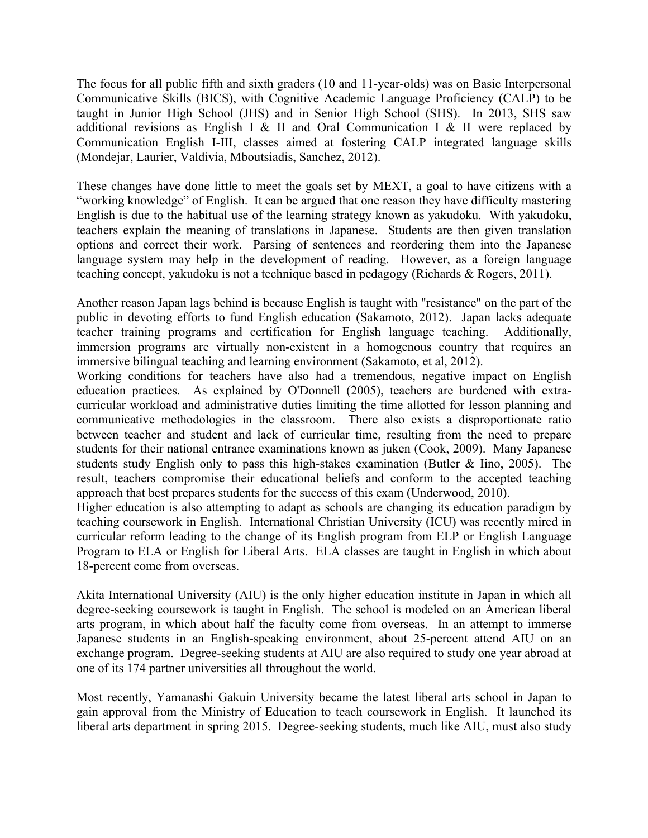The focus for all public fifth and sixth graders (10 and 11-year-olds) was on Basic Interpersonal Communicative Skills (BICS), with Cognitive Academic Language Proficiency (CALP) to be taught in Junior High School (JHS) and in Senior High School (SHS). In 2013, SHS saw additional revisions as English I & II and Oral Communication I & II were replaced by Communication English I-III, classes aimed at fostering CALP integrated language skills (Mondejar, Laurier, Valdivia, Mboutsiadis, Sanchez, 2012).

These changes have done little to meet the goals set by MEXT, a goal to have citizens with a "working knowledge" of English. It can be argued that one reason they have difficulty mastering English is due to the habitual use of the learning strategy known as yakudoku. With yakudoku, teachers explain the meaning of translations in Japanese. Students are then given translation options and correct their work. Parsing of sentences and reordering them into the Japanese language system may help in the development of reading. However, as a foreign language teaching concept, yakudoku is not a technique based in pedagogy (Richards & Rogers, 2011).

Another reason Japan lags behind is because English is taught with "resistance" on the part of the public in devoting efforts to fund English education (Sakamoto, 2012). Japan lacks adequate teacher training programs and certification for English language teaching. Additionally, immersion programs are virtually non-existent in a homogenous country that requires an immersive bilingual teaching and learning environment (Sakamoto, et al, 2012).

Working conditions for teachers have also had a tremendous, negative impact on English education practices. As explained by O'Donnell (2005), teachers are burdened with extracurricular workload and administrative duties limiting the time allotted for lesson planning and communicative methodologies in the classroom. There also exists a disproportionate ratio between teacher and student and lack of curricular time, resulting from the need to prepare students for their national entrance examinations known as juken (Cook, 2009). Many Japanese students study English only to pass this high-stakes examination (Butler & Iino, 2005). The result, teachers compromise their educational beliefs and conform to the accepted teaching approach that best prepares students for the success of this exam (Underwood, 2010).

Higher education is also attempting to adapt as schools are changing its education paradigm by teaching coursework in English. International Christian University (ICU) was recently mired in curricular reform leading to the change of its English program from ELP or English Language Program to ELA or English for Liberal Arts. ELA classes are taught in English in which about 18-percent come from overseas.

Akita International University (AIU) is the only higher education institute in Japan in which all degree-seeking coursework is taught in English. The school is modeled on an American liberal arts program, in which about half the faculty come from overseas. In an attempt to immerse Japanese students in an English-speaking environment, about 25-percent attend AIU on an exchange program. Degree-seeking students at AIU are also required to study one year abroad at one of its 174 partner universities all throughout the world.

Most recently, Yamanashi Gakuin University became the latest liberal arts school in Japan to gain approval from the Ministry of Education to teach coursework in English. It launched its liberal arts department in spring 2015. Degree-seeking students, much like AIU, must also study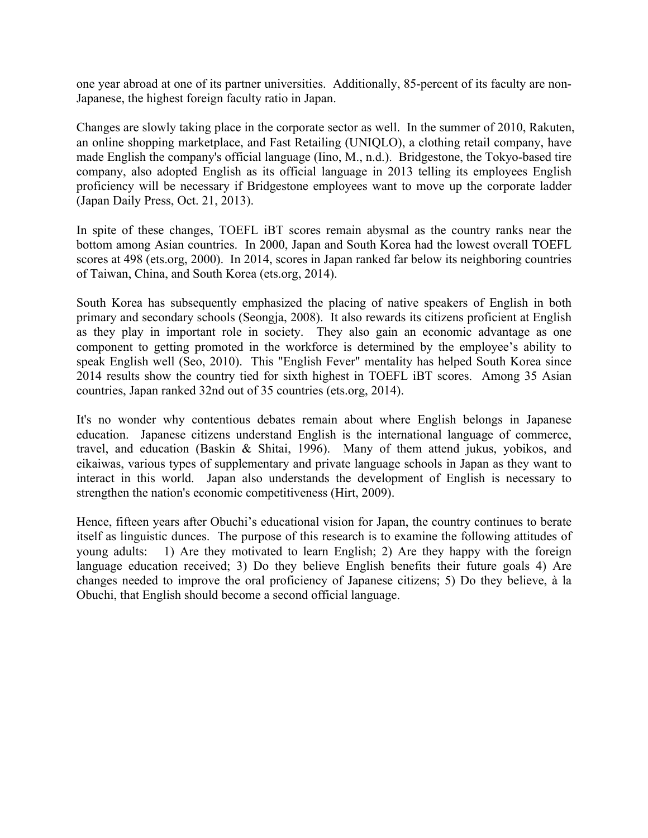one year abroad at one of its partner universities. Additionally, 85-percent of its faculty are non-Japanese, the highest foreign faculty ratio in Japan.

Changes are slowly taking place in the corporate sector as well. In the summer of 2010, Rakuten, an online shopping marketplace, and Fast Retailing (UNIQLO), a clothing retail company, have made English the company's official language (Iino, M., n.d.). Bridgestone, the Tokyo-based tire company, also adopted English as its official language in 2013 telling its employees English proficiency will be necessary if Bridgestone employees want to move up the corporate ladder (Japan Daily Press, Oct. 21, 2013).

In spite of these changes, TOEFL iBT scores remain abysmal as the country ranks near the bottom among Asian countries. In 2000, Japan and South Korea had the lowest overall TOEFL scores at 498 (ets.org, 2000). In 2014, scores in Japan ranked far below its neighboring countries of Taiwan, China, and South Korea (ets.org, 2014).

South Korea has subsequently emphasized the placing of native speakers of English in both primary and secondary schools (Seongja, 2008). It also rewards its citizens proficient at English as they play in important role in society. They also gain an economic advantage as one component to getting promoted in the workforce is determined by the employee's ability to speak English well (Seo, 2010). This "English Fever" mentality has helped South Korea since 2014 results show the country tied for sixth highest in TOEFL iBT scores. Among 35 Asian countries, Japan ranked 32nd out of 35 countries (ets.org, 2014).

It's no wonder why contentious debates remain about where English belongs in Japanese education. Japanese citizens understand English is the international language of commerce, travel, and education (Baskin & Shitai, 1996). Many of them attend jukus, yobikos, and eikaiwas, various types of supplementary and private language schools in Japan as they want to interact in this world. Japan also understands the development of English is necessary to strengthen the nation's economic competitiveness (Hirt, 2009).

Hence, fifteen years after Obuchi's educational vision for Japan, the country continues to berate itself as linguistic dunces. The purpose of this research is to examine the following attitudes of young adults: 1) Are they motivated to learn English; 2) Are they happy with the foreign language education received; 3) Do they believe English benefits their future goals 4) Are changes needed to improve the oral proficiency of Japanese citizens; 5) Do they believe, à la Obuchi, that English should become a second official language.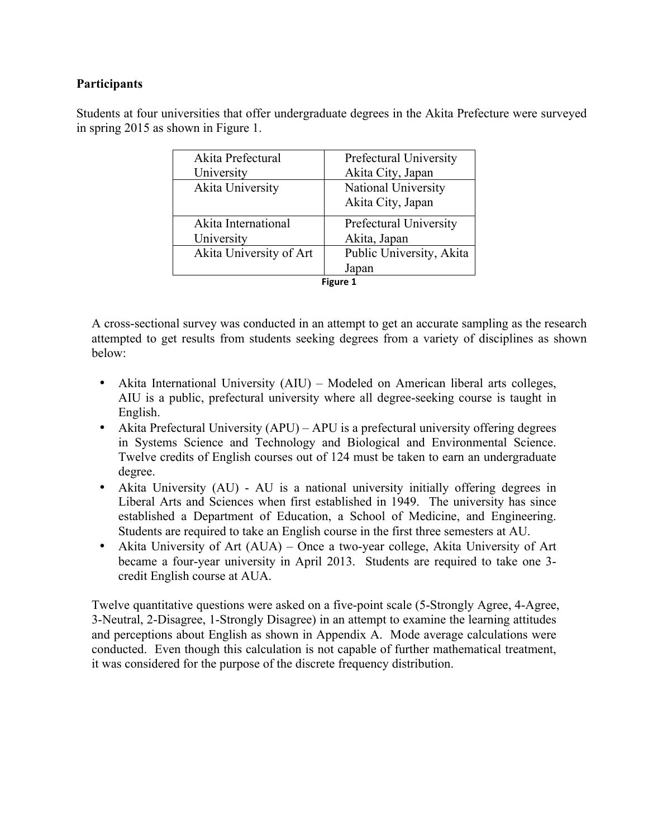# **Participants**

Students at four universities that offer undergraduate degrees in the Akita Prefecture were surveyed in spring 2015 as shown in Figure 1.

| Akita Prefectural<br>University       | Prefectural University<br>Akita City, Japan |  |
|---------------------------------------|---------------------------------------------|--|
| Akita University                      | National University<br>Akita City, Japan    |  |
| Akita International                   | Prefectural University                      |  |
| University<br>Akita University of Art | Akita, Japan<br>Public University, Akita    |  |
|                                       | Japan<br><b>Figure 1</b>                    |  |

A cross-sectional survey was conducted in an attempt to get an accurate sampling as the research attempted to get results from students seeking degrees from a variety of disciplines as shown below:

- Akita International University (AIU) Modeled on American liberal arts colleges, AIU is a public, prefectural university where all degree-seeking course is taught in English.
- Akita Prefectural University (APU) APU is a prefectural university offering degrees in Systems Science and Technology and Biological and Environmental Science. Twelve credits of English courses out of 124 must be taken to earn an undergraduate degree.
- Akita University (AU) AU is a national university initially offering degrees in Liberal Arts and Sciences when first established in 1949. The university has since established a Department of Education, a School of Medicine, and Engineering. Students are required to take an English course in the first three semesters at AU.
- Akita University of Art (AUA) Once a two-year college, Akita University of Art became a four-year university in April 2013. Students are required to take one 3 credit English course at AUA.

Twelve quantitative questions were asked on a five-point scale (5-Strongly Agree, 4-Agree, 3-Neutral, 2-Disagree, 1-Strongly Disagree) in an attempt to examine the learning attitudes and perceptions about English as shown in Appendix A. Mode average calculations were conducted. Even though this calculation is not capable of further mathematical treatment, it was considered for the purpose of the discrete frequency distribution.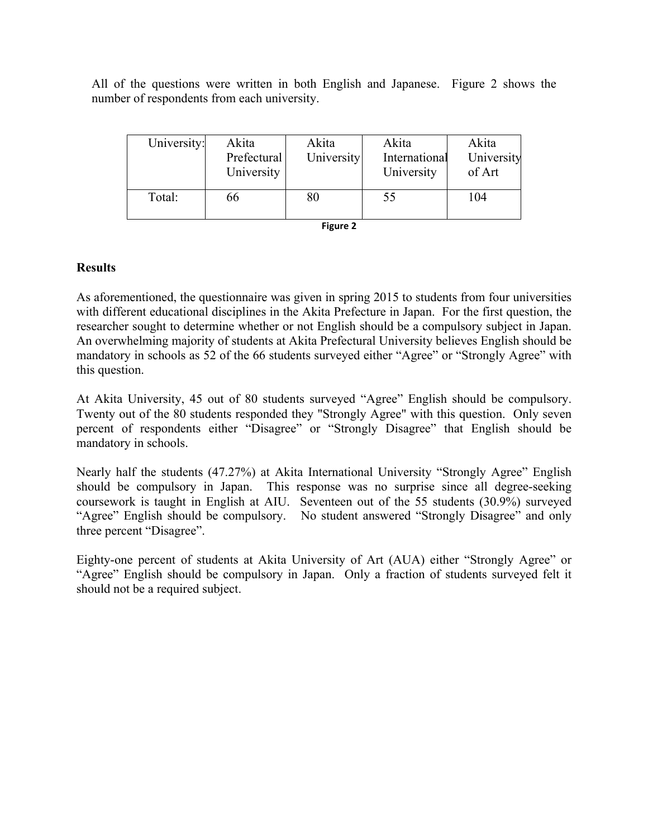All of the questions were written in both English and Japanese. Figure 2 shows the number of respondents from each university.

| University: | Akita<br>Prefectural<br>University | Akita<br>University | Akita<br>International<br>University | Akita<br>University<br>of Art |
|-------------|------------------------------------|---------------------|--------------------------------------|-------------------------------|
| Total:      | 66                                 | 80                  | 55                                   | 104                           |
| Figure 2    |                                    |                     |                                      |                               |

| igure |  |
|-------|--|
|-------|--|

# **Results**

As aforementioned, the questionnaire was given in spring 2015 to students from four universities with different educational disciplines in the Akita Prefecture in Japan. For the first question, the researcher sought to determine whether or not English should be a compulsory subject in Japan. An overwhelming majority of students at Akita Prefectural University believes English should be mandatory in schools as 52 of the 66 students surveyed either "Agree" or "Strongly Agree" with this question.

At Akita University, 45 out of 80 students surveyed "Agree" English should be compulsory. Twenty out of the 80 students responded they "Strongly Agree" with this question. Only seven percent of respondents either "Disagree" or "Strongly Disagree" that English should be mandatory in schools.

Nearly half the students (47.27%) at Akita International University "Strongly Agree" English should be compulsory in Japan. This response was no surprise since all degree-seeking coursework is taught in English at AIU. Seventeen out of the 55 students (30.9%) surveyed "Agree" English should be compulsory. No student answered "Strongly Disagree" and only three percent "Disagree".

Eighty-one percent of students at Akita University of Art (AUA) either "Strongly Agree" or "Agree" English should be compulsory in Japan. Only a fraction of students surveyed felt it should not be a required subject.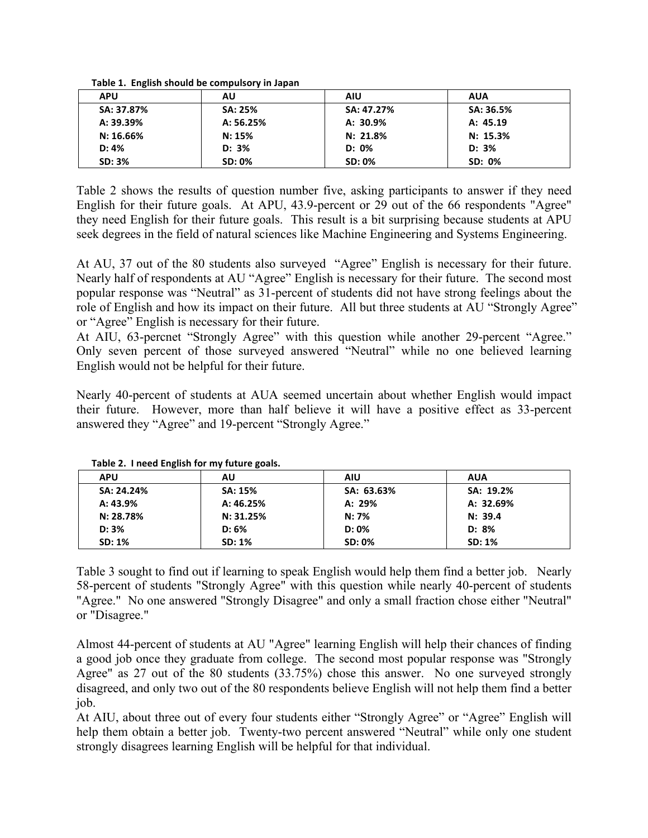| <b>APU</b>    | AU            | <b>AIU</b>    | <b>AUA</b> |
|---------------|---------------|---------------|------------|
| SA: 37.87%    | SA: 25%       | SA: 47.27%    | SA: 36.5%  |
| A: 39.39%     | A: 56.25%     | A: 30.9%      | A: 45.19   |
| $N: 16.66\%$  | N: 15%        | N: 21.8%      | N: 15.3%   |
| D: 4%         | D: 3%         | D: 0%         | D: 3%      |
| <b>SD: 3%</b> | <b>SD: 0%</b> | <b>SD: 0%</b> | SD: 0%     |

Table 2 shows the results of question number five, asking participants to answer if they need English for their future goals. At APU, 43.9-percent or 29 out of the 66 respondents "Agree" they need English for their future goals. This result is a bit surprising because students at APU seek degrees in the field of natural sciences like Machine Engineering and Systems Engineering.

At AU, 37 out of the 80 students also surveyed "Agree" English is necessary for their future. Nearly half of respondents at AU "Agree" English is necessary for their future. The second most popular response was "Neutral" as 31-percent of students did not have strong feelings about the role of English and how its impact on their future. All but three students at AU "Strongly Agree" or "Agree" English is necessary for their future.

At AIU, 63-percnet "Strongly Agree" with this question while another 29-percent "Agree." Only seven percent of those surveyed answered "Neutral" while no one believed learning English would not be helpful for their future.

Nearly 40-percent of students at AUA seemed uncertain about whether English would impact their future. However, more than half believe it will have a positive effect as 33-percent answered they "Agree" and 19-percent "Strongly Agree."

|               | $1.4819$ at $1.11999$ and $1.19111$ $1.1911$ $1.01911$ $1.01911$ $1.01911$ |               |               |  |
|---------------|----------------------------------------------------------------------------|---------------|---------------|--|
| <b>APU</b>    | AU                                                                         | <b>AIU</b>    | <b>AUA</b>    |  |
| SA: 24.24%    | <b>SA: 15%</b>                                                             | SA: 63.63%    | SA: 19.2%     |  |
| A: 43.9%      | A: 46.25%                                                                  | A: 29%        | A: 32.69%     |  |
| N: 28.78%     | N: 31.25%                                                                  | N: 7%         | N: 39.4       |  |
| D: 3%         | D: 6%                                                                      | $D: 0\%$      | D: 8%         |  |
| <b>SD: 1%</b> | SD: 1%                                                                     | <b>SD: 0%</b> | <b>SD: 1%</b> |  |

**Table 2. I need English for my future goals.**

Table 3 sought to find out if learning to speak English would help them find a better job. Nearly 58-percent of students "Strongly Agree" with this question while nearly 40-percent of students "Agree." No one answered "Strongly Disagree" and only a small fraction chose either "Neutral" or "Disagree."

Almost 44-percent of students at AU "Agree" learning English will help their chances of finding a good job once they graduate from college. The second most popular response was "Strongly Agree" as 27 out of the 80 students (33.75%) chose this answer. No one surveyed strongly disagreed, and only two out of the 80 respondents believe English will not help them find a better job.

At AIU, about three out of every four students either "Strongly Agree" or "Agree" English will help them obtain a better job. Twenty-two percent answered "Neutral" while only one student strongly disagrees learning English will be helpful for that individual.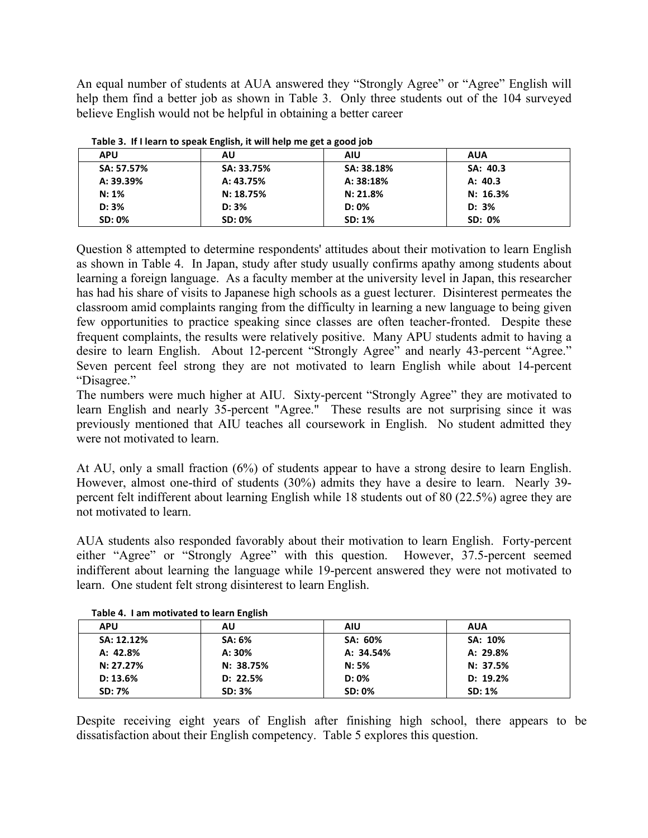An equal number of students at AUA answered they "Strongly Agree" or "Agree" English will help them find a better job as shown in Table 3. Only three students out of the 104 surveyed believe English would not be helpful in obtaining a better career

| Table 5. If I Icarli to speak English, it will lielp the get a good job |               |            |            |  |
|-------------------------------------------------------------------------|---------------|------------|------------|--|
| <b>APU</b>                                                              | AU            | <b>AIU</b> | <b>AUA</b> |  |
| SA: 57.57%                                                              | SA: 33.75%    | SA: 38.18% | SA: 40.3   |  |
| A: 39.39%                                                               | A: 43.75%     | A: 38:18%  | A: 40.3    |  |
| $N: 1\%$                                                                | N: 18.75%     | N: 21.8%   | N: 16.3%   |  |
| D: 3%                                                                   | D: 3%         | $D: 0\%$   | $D: 3\%$   |  |
| <b>SD: 0%</b>                                                           | <b>SD: 0%</b> | SD: 1%     | SD: 0%     |  |

|  |  |  |  | Table 3. If I learn to speak English, it will help me get a good job |  |  |
|--|--|--|--|----------------------------------------------------------------------|--|--|
|--|--|--|--|----------------------------------------------------------------------|--|--|

Question 8 attempted to determine respondents' attitudes about their motivation to learn English as shown in Table 4. In Japan, study after study usually confirms apathy among students about learning a foreign language. As a faculty member at the university level in Japan, this researcher has had his share of visits to Japanese high schools as a guest lecturer. Disinterest permeates the classroom amid complaints ranging from the difficulty in learning a new language to being given few opportunities to practice speaking since classes are often teacher-fronted. Despite these frequent complaints, the results were relatively positive. Many APU students admit to having a desire to learn English. About 12-percent "Strongly Agree" and nearly 43-percent "Agree." Seven percent feel strong they are not motivated to learn English while about 14-percent "Disagree."

The numbers were much higher at AIU. Sixty-percent "Strongly Agree" they are motivated to learn English and nearly 35-percent "Agree." These results are not surprising since it was previously mentioned that AIU teaches all coursework in English. No student admitted they were not motivated to learn.

At AU, only a small fraction (6%) of students appear to have a strong desire to learn English. However, almost one-third of students (30%) admits they have a desire to learn. Nearly 39 percent felt indifferent about learning English while 18 students out of 80 (22.5%) agree they are not motivated to learn.

AUA students also responded favorably about their motivation to learn English. Forty-percent either "Agree" or "Strongly Agree" with this question. However, 37.5-percent seemed indifferent about learning the language while 19-percent answered they were not motivated to learn. One student felt strong disinterest to learn English.

| Table 4. Talli motivated to learn English |               |               |            |  |
|-------------------------------------------|---------------|---------------|------------|--|
| <b>APU</b>                                | AU            | <b>AIU</b>    | <b>AUA</b> |  |
| SA: 12.12%                                | <b>SA: 6%</b> | SA: 60%       | SA: 10%    |  |
| A: 42.8%                                  | A: 30%        | A: 34.54%     | A: 29.8%   |  |
| N: 27.27%                                 | N: 38.75%     | N: 5%         | N: 37.5%   |  |
| D: 13.6%                                  | D: 22.5%      | $D: 0\%$      | D: 19.2%   |  |
| <b>SD: 7%</b>                             | SD: 3%        | <b>SD: 0%</b> | SD: 1%     |  |

**Table 4. I am motivated to learn English**

Despite receiving eight years of English after finishing high school, there appears to be dissatisfaction about their English competency. Table 5 explores this question.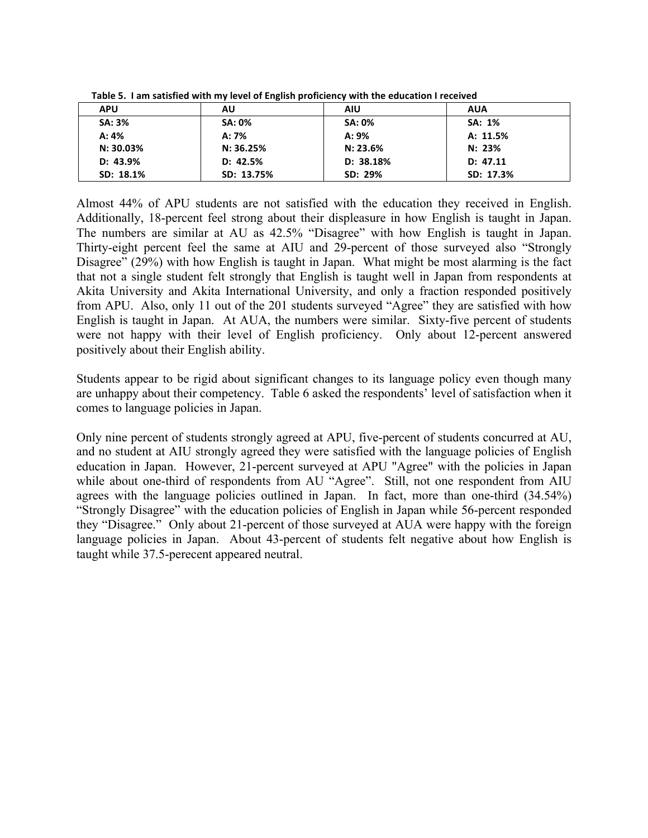| <b>APU</b>    | AU            | <b>AIU</b>    | <b>AUA</b> |  |  |
|---------------|---------------|---------------|------------|--|--|
| <b>SA: 3%</b> | <b>SA: 0%</b> | <b>SA: 0%</b> | SA: 1%     |  |  |
| A: 4%         | A: 7%         | A: 9%         | A: 11.5%   |  |  |
| N: 30.03%     | N: 36.25%     | N: 23.6%      | N: 23%     |  |  |
| D: 43.9%      | D: 42.5%      | D: 38.18%     | D: 47.11   |  |  |
| SD: 18.1%     | SD: 13.75%    | SD: 29%       | SD: 17.3%  |  |  |

**Table 5. I am satisfied with my level of English proficiency with the education I received** 

Almost 44% of APU students are not satisfied with the education they received in English. Additionally, 18-percent feel strong about their displeasure in how English is taught in Japan. The numbers are similar at AU as 42.5% "Disagree" with how English is taught in Japan. Thirty-eight percent feel the same at AIU and 29-percent of those surveyed also "Strongly Disagree" (29%) with how English is taught in Japan. What might be most alarming is the fact that not a single student felt strongly that English is taught well in Japan from respondents at Akita University and Akita International University, and only a fraction responded positively from APU. Also, only 11 out of the 201 students surveyed "Agree" they are satisfied with how English is taught in Japan. At AUA, the numbers were similar. Sixty-five percent of students were not happy with their level of English proficiency. Only about 12-percent answered positively about their English ability.

Students appear to be rigid about significant changes to its language policy even though many are unhappy about their competency. Table 6 asked the respondents' level of satisfaction when it comes to language policies in Japan.

Only nine percent of students strongly agreed at APU, five-percent of students concurred at AU, and no student at AIU strongly agreed they were satisfied with the language policies of English education in Japan. However, 21-percent surveyed at APU "Agree" with the policies in Japan while about one-third of respondents from AU "Agree". Still, not one respondent from AIU agrees with the language policies outlined in Japan. In fact, more than one-third (34.54%) "Strongly Disagree" with the education policies of English in Japan while 56-percent responded they "Disagree." Only about 21-percent of those surveyed at AUA were happy with the foreign language policies in Japan. About 43-percent of students felt negative about how English is taught while 37.5-perecent appeared neutral.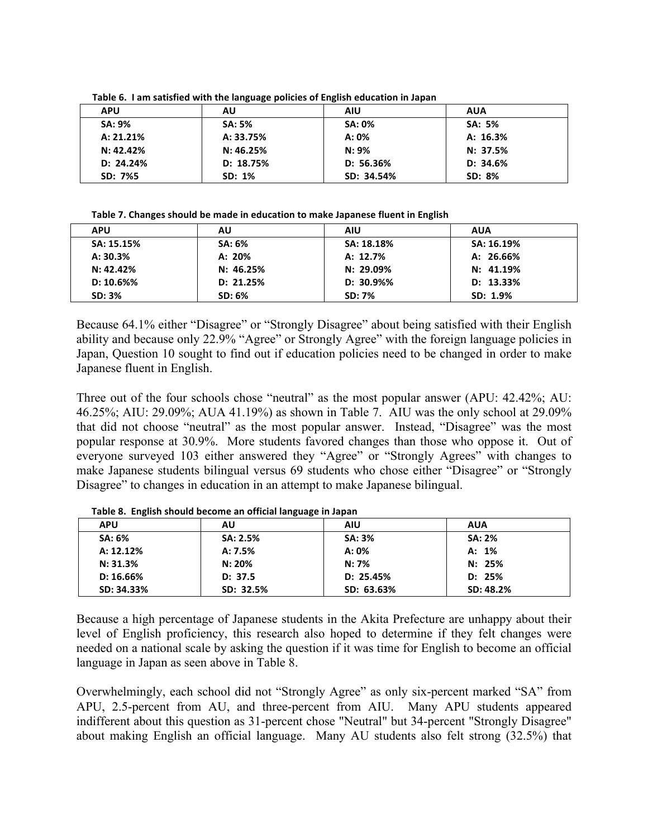Table 6. I am satisfied with the language policies of English education in Japan

| <b>APU</b>    | AU            | <b>AIU</b> | <b>AUA</b>    |
|---------------|---------------|------------|---------------|
| <b>SA: 9%</b> | <b>SA: 5%</b> | SA: 0%     | <b>SA: 5%</b> |
| A: 21.21%     | A: 33.75%     | A: 0%      | A: 16.3%      |
| N: 42.42%     | N: 46.25%     | $N: 9\%$   | N: 37.5%      |
| D: 24.24%     | D: 18.75%     | D: 56.36%  | D: 34.6%      |
| SD: 7%5       | SD: 1%        | SD: 34.54% | SD: 8%        |

#### Table 7. Changes should be made in education to make Japanese fluent in English

| <b>APU</b>    | AU            | <b>AIU</b>    | <b>AUA</b> |
|---------------|---------------|---------------|------------|
| SA: 15.15%    | <b>SA: 6%</b> | SA: 18.18%    | SA: 16.19% |
| A: 30.3%      | A: 20%        | A: 12.7%      | A: 26.66%  |
| N: 42.42%     | N: 46.25%     | N: 29.09%     | N: 41.19%  |
| D: 10.6%      | D: 21.25%     | D: 30.9%      | D: 13.33%  |
| <b>SD: 3%</b> | SD: 6%        | <b>SD: 7%</b> | SD: 1.9%   |

Because 64.1% either "Disagree" or "Strongly Disagree" about being satisfied with their English ability and because only 22.9% "Agree" or Strongly Agree" with the foreign language policies in Japan, Question 10 sought to find out if education policies need to be changed in order to make Japanese fluent in English.

Three out of the four schools chose "neutral" as the most popular answer (APU: 42.42%; AU: 46.25%; AIU: 29.09%; AUA 41.19%) as shown in Table 7. AIU was the only school at 29.09% that did not choose "neutral" as the most popular answer. Instead, "Disagree" was the most popular response at 30.9%. More students favored changes than those who oppose it. Out of everyone surveyed 103 either answered they "Agree" or "Strongly Agrees" with changes to make Japanese students bilingual versus 69 students who chose either "Disagree" or "Strongly Disagree" to changes in education in an attempt to make Japanese bilingual.

| . .           | - -       |               |               |
|---------------|-----------|---------------|---------------|
| <b>APU</b>    | AU        | <b>AIU</b>    | <b>AUA</b>    |
| <b>SA: 6%</b> | SA: 2.5%  | <b>SA: 3%</b> | <b>SA: 2%</b> |
| A: 12.12%     | A: 7.5%   | A: 0%         | A: 1%         |
| N: 31.3%      | N: 20%    | N: 7%         | N: 25%        |
| D: 16.66%     | D: 37.5   | D: 25.45%     | D: 25%        |
| SD: 34.33%    | SD: 32.5% | SD: 63.63%    | SD: 48.2%     |

Table 8. English should become an official language in Japan

Because a high percentage of Japanese students in the Akita Prefecture are unhappy about their level of English proficiency, this research also hoped to determine if they felt changes were needed on a national scale by asking the question if it was time for English to become an official language in Japan as seen above in Table 8.

Overwhelmingly, each school did not "Strongly Agree" as only six-percent marked "SA" from APU, 2.5-percent from AU, and three-percent from AIU. Many APU students appeared indifferent about this question as 31-percent chose "Neutral" but 34-percent "Strongly Disagree" about making English an official language. Many AU students also felt strong (32.5%) that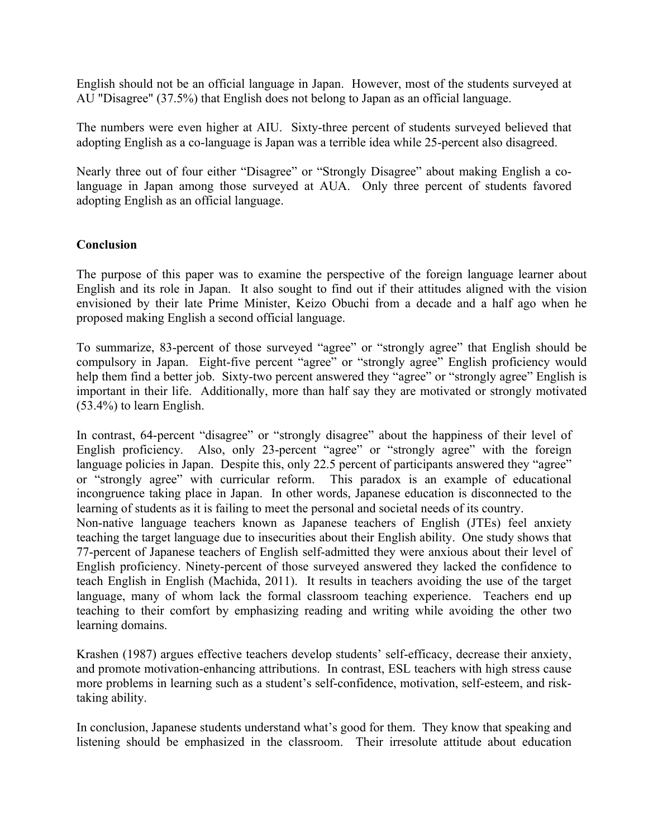English should not be an official language in Japan. However, most of the students surveyed at AU "Disagree" (37.5%) that English does not belong to Japan as an official language.

The numbers were even higher at AIU. Sixty-three percent of students surveyed believed that adopting English as a co-language is Japan was a terrible idea while 25-percent also disagreed.

Nearly three out of four either "Disagree" or "Strongly Disagree" about making English a colanguage in Japan among those surveyed at AUA. Only three percent of students favored adopting English as an official language.

# **Conclusion**

The purpose of this paper was to examine the perspective of the foreign language learner about English and its role in Japan. It also sought to find out if their attitudes aligned with the vision envisioned by their late Prime Minister, Keizo Obuchi from a decade and a half ago when he proposed making English a second official language.

To summarize, 83-percent of those surveyed "agree" or "strongly agree" that English should be compulsory in Japan. Eight-five percent "agree" or "strongly agree" English proficiency would help them find a better job. Sixty-two percent answered they "agree" or "strongly agree" English is important in their life. Additionally, more than half say they are motivated or strongly motivated (53.4%) to learn English.

In contrast, 64-percent "disagree" or "strongly disagree" about the happiness of their level of English proficiency. Also, only 23-percent "agree" or "strongly agree" with the foreign language policies in Japan. Despite this, only 22.5 percent of participants answered they "agree" or "strongly agree" with curricular reform. This paradox is an example of educational incongruence taking place in Japan. In other words, Japanese education is disconnected to the learning of students as it is failing to meet the personal and societal needs of its country.

Non-native language teachers known as Japanese teachers of English (JTEs) feel anxiety teaching the target language due to insecurities about their English ability. One study shows that 77-percent of Japanese teachers of English self-admitted they were anxious about their level of English proficiency. Ninety-percent of those surveyed answered they lacked the confidence to teach English in English (Machida, 2011). It results in teachers avoiding the use of the target language, many of whom lack the formal classroom teaching experience. Teachers end up teaching to their comfort by emphasizing reading and writing while avoiding the other two learning domains.

Krashen (1987) argues effective teachers develop students' self-efficacy, decrease their anxiety, and promote motivation-enhancing attributions. In contrast, ESL teachers with high stress cause more problems in learning such as a student's self-confidence, motivation, self-esteem, and risktaking ability.

In conclusion, Japanese students understand what's good for them. They know that speaking and listening should be emphasized in the classroom. Their irresolute attitude about education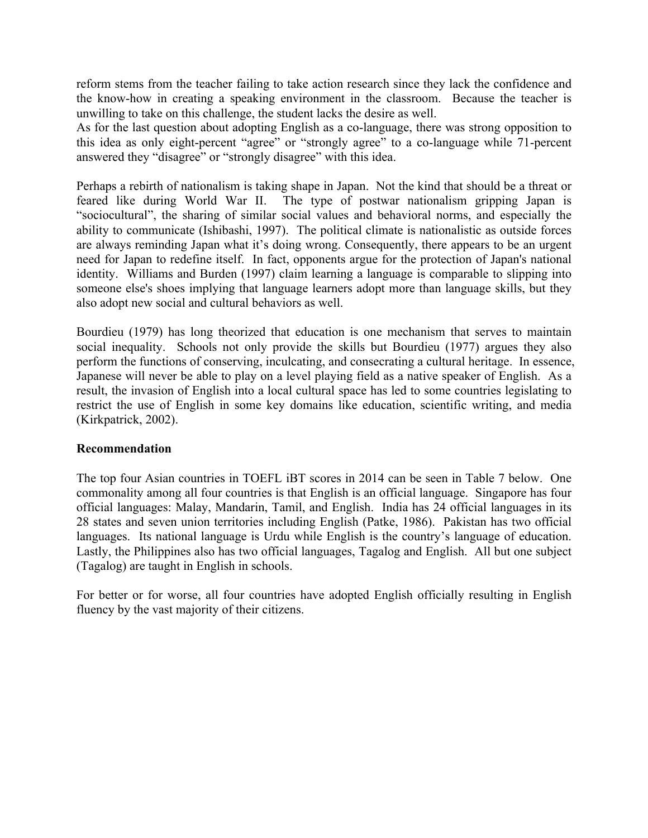reform stems from the teacher failing to take action research since they lack the confidence and the know-how in creating a speaking environment in the classroom. Because the teacher is unwilling to take on this challenge, the student lacks the desire as well.

As for the last question about adopting English as a co-language, there was strong opposition to this idea as only eight-percent "agree" or "strongly agree" to a co-language while 71-percent answered they "disagree" or "strongly disagree" with this idea.

Perhaps a rebirth of nationalism is taking shape in Japan. Not the kind that should be a threat or feared like during World War II. The type of postwar nationalism gripping Japan is "sociocultural", the sharing of similar social values and behavioral norms, and especially the ability to communicate (Ishibashi, 1997). The political climate is nationalistic as outside forces are always reminding Japan what it's doing wrong. Consequently, there appears to be an urgent need for Japan to redefine itself. In fact, opponents argue for the protection of Japan's national identity. Williams and Burden (1997) claim learning a language is comparable to slipping into someone else's shoes implying that language learners adopt more than language skills, but they also adopt new social and cultural behaviors as well.

Bourdieu (1979) has long theorized that education is one mechanism that serves to maintain social inequality. Schools not only provide the skills but Bourdieu (1977) argues they also perform the functions of conserving, inculcating, and consecrating a cultural heritage. In essence, Japanese will never be able to play on a level playing field as a native speaker of English. As a result, the invasion of English into a local cultural space has led to some countries legislating to restrict the use of English in some key domains like education, scientific writing, and media (Kirkpatrick, 2002).

# **Recommendation**

The top four Asian countries in TOEFL iBT scores in 2014 can be seen in Table 7 below. One commonality among all four countries is that English is an official language. Singapore has four official languages: Malay, Mandarin, Tamil, and English. India has 24 official languages in its 28 states and seven union territories including English (Patke, 1986). Pakistan has two official languages. Its national language is Urdu while English is the country's language of education. Lastly, the Philippines also has two official languages, Tagalog and English. All but one subject (Tagalog) are taught in English in schools.

For better or for worse, all four countries have adopted English officially resulting in English fluency by the vast majority of their citizens.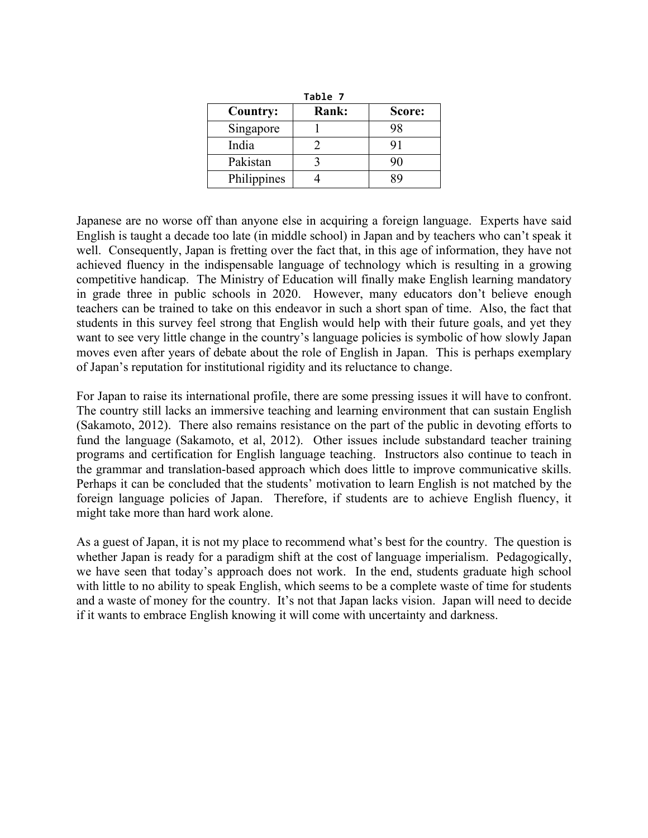|             | Table 7 |        |
|-------------|---------|--------|
| Country:    | Rank:   | Score: |
| Singapore   |         |        |
| India       |         | 91     |
| Pakistan    |         | 90     |
| Philippines |         |        |

Japanese are no worse off than anyone else in acquiring a foreign language. Experts have said English is taught a decade too late (in middle school) in Japan and by teachers who can't speak it well. Consequently, Japan is fretting over the fact that, in this age of information, they have not achieved fluency in the indispensable language of technology which is resulting in a growing competitive handicap. The Ministry of Education will finally make English learning mandatory in grade three in public schools in 2020. However, many educators don't believe enough teachers can be trained to take on this endeavor in such a short span of time. Also, the fact that students in this survey feel strong that English would help with their future goals, and yet they want to see very little change in the country's language policies is symbolic of how slowly Japan moves even after years of debate about the role of English in Japan. This is perhaps exemplary of Japan's reputation for institutional rigidity and its reluctance to change.

For Japan to raise its international profile, there are some pressing issues it will have to confront. The country still lacks an immersive teaching and learning environment that can sustain English (Sakamoto, 2012). There also remains resistance on the part of the public in devoting efforts to fund the language (Sakamoto, et al, 2012). Other issues include substandard teacher training programs and certification for English language teaching. Instructors also continue to teach in the grammar and translation-based approach which does little to improve communicative skills. Perhaps it can be concluded that the students' motivation to learn English is not matched by the foreign language policies of Japan. Therefore, if students are to achieve English fluency, it might take more than hard work alone.

As a guest of Japan, it is not my place to recommend what's best for the country. The question is whether Japan is ready for a paradigm shift at the cost of language imperialism. Pedagogically, we have seen that today's approach does not work. In the end, students graduate high school with little to no ability to speak English, which seems to be a complete waste of time for students and a waste of money for the country. It's not that Japan lacks vision. Japan will need to decide if it wants to embrace English knowing it will come with uncertainty and darkness.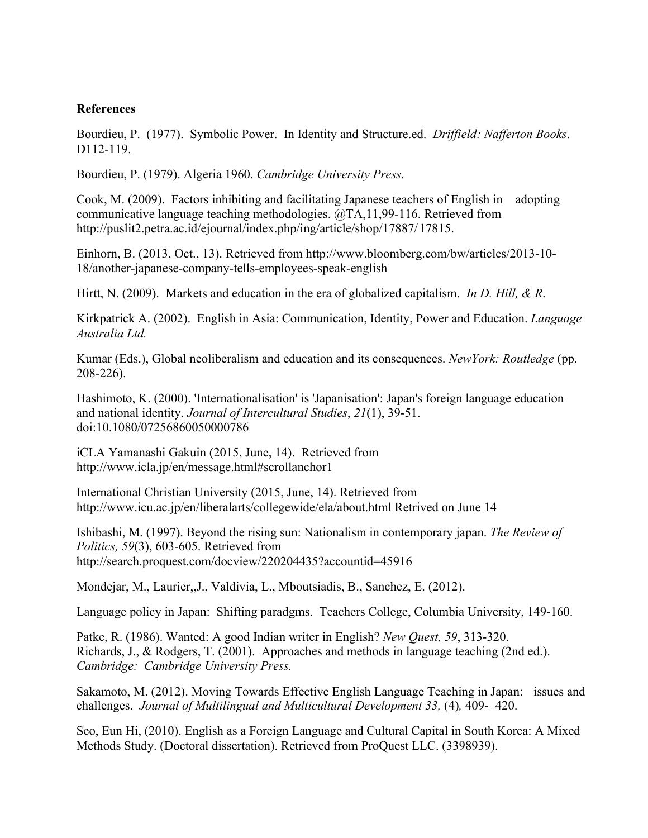## **References**

Bourdieu, P. (1977). Symbolic Power. In Identity and Structure.ed. *Driffield: Nafferton Books*. D112-119.

Bourdieu, P. (1979). Algeria 1960. *Cambridge University Press*.

Cook, M. (2009). Factors inhibiting and facilitating Japanese teachers of English in adopting communicative language teaching methodologies. @TA,11,99-116. Retrieved from http://puslit2.petra.ac.id/ejournal/index.php/ing/article/shop/17887/17815.

Einhorn, B. (2013, Oct., 13). Retrieved from http://www.bloomberg.com/bw/articles/2013-10- 18/another-japanese-company-tells-employees-speak-english

Hirtt, N. (2009). Markets and education in the era of globalized capitalism. *In D. Hill, & R*.

Kirkpatrick A. (2002). English in Asia: Communication, Identity, Power and Education. *Language Australia Ltd.*

Kumar (Eds.), Global neoliberalism and education and its consequences. *NewYork: Routledge* (pp. 208-226).

Hashimoto, K. (2000). 'Internationalisation' is 'Japanisation': Japan's foreign language education and national identity. *Journal of Intercultural Studies*, *21*(1), 39-51. doi:10.1080/07256860050000786

iCLA Yamanashi Gakuin (2015, June, 14). Retrieved from http://www.icla.jp/en/message.html#scrollanchor1

International Christian University (2015, June, 14). Retrieved from http://www.icu.ac.jp/en/liberalarts/collegewide/ela/about.html Retrived on June 14

Ishibashi, M. (1997). Beyond the rising sun: Nationalism in contemporary japan. *The Review of Politics, 59*(3), 603-605. Retrieved from http://search.proquest.com/docview/220204435?accountid=45916

Mondejar, M., Laurier,,J., Valdivia, L., Mboutsiadis, B., Sanchez, E. (2012).

Language policy in Japan: Shifting paradgms. Teachers College, Columbia University, 149-160.

Patke, R. (1986). Wanted: A good Indian writer in English? *New Quest, 59*, 313-320. Richards, J., & Rodgers, T. (2001). Approaches and methods in language teaching (2nd ed.). *Cambridge: Cambridge University Press.*

Sakamoto, M. (2012). Moving Towards Effective English Language Teaching in Japan: issues and challenges. *Journal of Multilingual and Multicultural Development 33,* (4)*,* 409- 420.

Seo, Eun Hi, (2010). English as a Foreign Language and Cultural Capital in South Korea: A Mixed Methods Study. (Doctoral dissertation). Retrieved from ProQuest LLC. (3398939).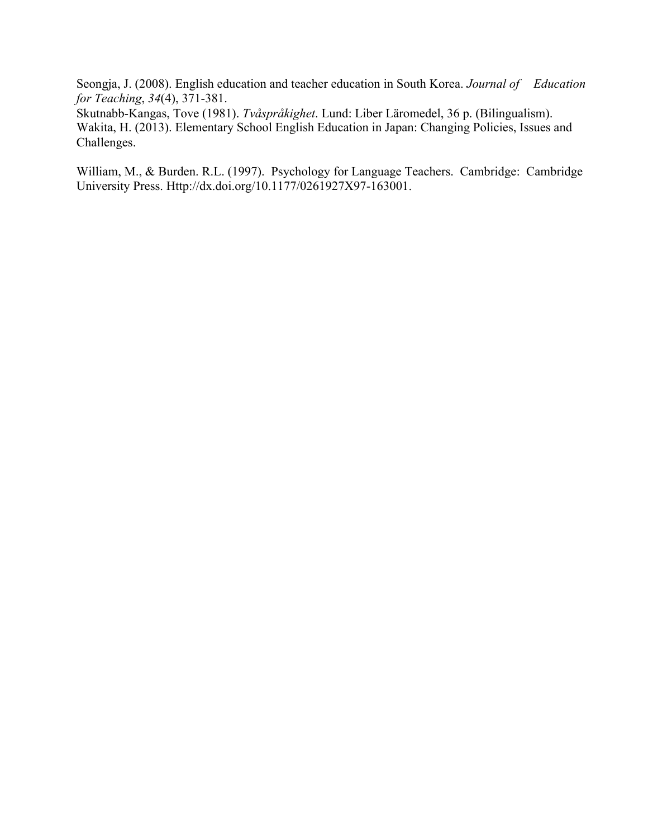Seongja, J. (2008). English education and teacher education in South Korea. *Journal of Education for Teaching*, *34*(4), 371-381.

Skutnabb-Kangas, Tove (1981). *Tvåspråkighet*. Lund: Liber Läromedel, 36 p. (Bilingualism). Wakita, H. (2013). Elementary School English Education in Japan: Changing Policies, Issues and Challenges.

William, M., & Burden. R.L. (1997). Psychology for Language Teachers. Cambridge: Cambridge University Press. Http://dx.doi.org/10.1177/0261927X97-163001.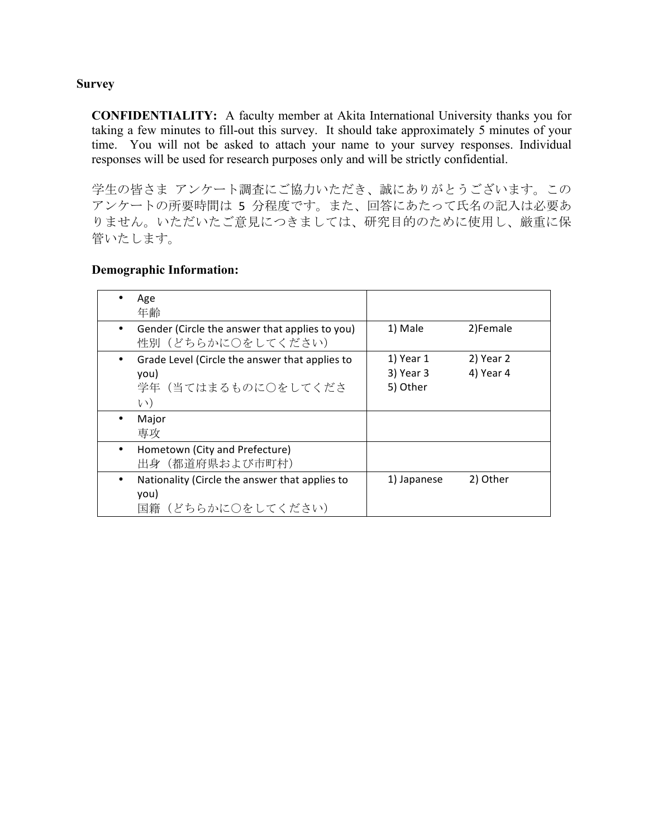# **Survey**

**CONFIDENTIALITY:** A faculty member at Akita International University thanks you for taking a few minutes to fill-out this survey. It should take approximately 5 minutes of your time. You will not be asked to attach your name to your survey responses. Individual responses will be used for research purposes only and will be strictly confidential.

学生の皆さま アンケート調査にご協力いただき、誠にありがとうございます。この アンケートの所要時間は 5 分程度です。また、回答にあたって氏名の記入は必要あ りません。いただいたご意見につきましては、研究目的のために使用し、厳重に保 管いたします。

# **Demographic Information:**

|           | Age<br>年齢                                                                                   |                                    |                        |
|-----------|---------------------------------------------------------------------------------------------|------------------------------------|------------------------|
|           | Gender (Circle the answer that applies to you)<br>性別(どちらかに○をしてください)                         | 1) Male                            | 2)Female               |
|           | Grade Level (Circle the answer that applies to<br>you)<br>学年(当てはまるものに○をしてくださ<br>$(\lambda)$ | 1) Year 1<br>3) Year 3<br>5) Other | 2) Year 2<br>4) Year 4 |
|           | Major<br>専攻                                                                                 |                                    |                        |
| $\bullet$ | Hometown (City and Prefecture)<br>出身(都道府県および市町村)                                            |                                    |                        |
|           | Nationality (Circle the answer that applies to<br>you)<br>国籍(どちらかに○をしてください)                 | 1) Japanese                        | 2) Other               |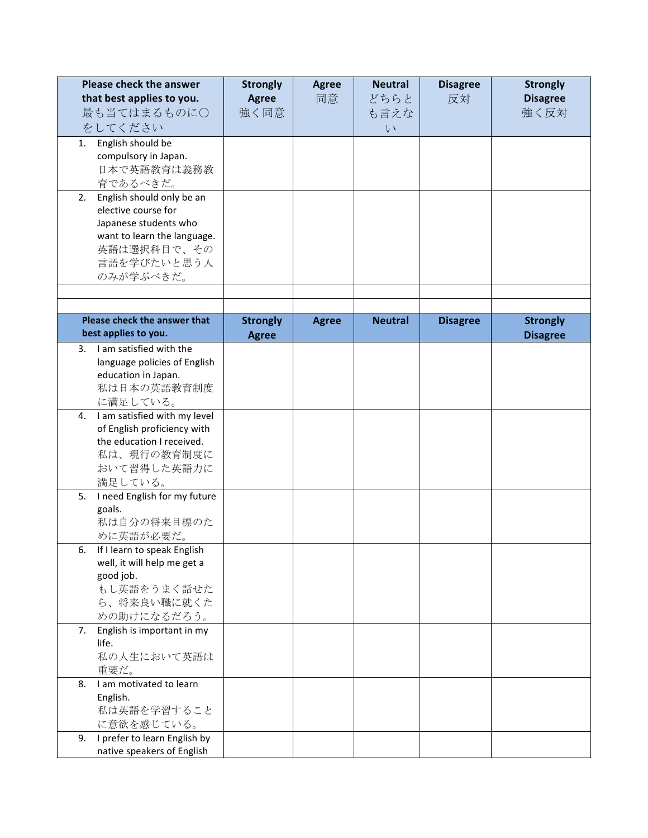|    | <b>Please check the answer</b> | <b>Strongly</b> | <b>Agree</b> | <b>Neutral</b> | <b>Disagree</b> | <b>Strongly</b> |
|----|--------------------------------|-----------------|--------------|----------------|-----------------|-----------------|
|    | that best applies to you.      | <b>Agree</b>    | 同意           | どちらと           | 反対              | <b>Disagree</b> |
|    | 最も当てはまるものに〇                    | 強く同意            |              | も言えな           |                 | 強く反対            |
|    | をしてください                        |                 |              | $\vee$         |                 |                 |
| 1. | English should be              |                 |              |                |                 |                 |
|    | compulsory in Japan.           |                 |              |                |                 |                 |
|    | 日本で英語教育は義務教                    |                 |              |                |                 |                 |
|    | 育であるべきだ。                       |                 |              |                |                 |                 |
| 2. | English should only be an      |                 |              |                |                 |                 |
|    | elective course for            |                 |              |                |                 |                 |
|    | Japanese students who          |                 |              |                |                 |                 |
|    | want to learn the language.    |                 |              |                |                 |                 |
|    | 英語は選択科目で、その                    |                 |              |                |                 |                 |
|    | 言語を学びたいと思う人                    |                 |              |                |                 |                 |
|    | のみが学ぶべきだ。                      |                 |              |                |                 |                 |
|    |                                |                 |              |                |                 |                 |
|    | Please check the answer that   |                 |              |                |                 |                 |
|    | best applies to you.           | <b>Strongly</b> | <b>Agree</b> | <b>Neutral</b> | <b>Disagree</b> | <b>Strongly</b> |
| 3. | I am satisfied with the        | <b>Agree</b>    |              |                |                 | <b>Disagree</b> |
|    | language policies of English   |                 |              |                |                 |                 |
|    | education in Japan.            |                 |              |                |                 |                 |
|    | 私は日本の英語教育制度                    |                 |              |                |                 |                 |
|    | に満足している。                       |                 |              |                |                 |                 |
| 4. | I am satisfied with my level   |                 |              |                |                 |                 |
|    | of English proficiency with    |                 |              |                |                 |                 |
|    | the education I received.      |                 |              |                |                 |                 |
|    | 私は、現行の教育制度に                    |                 |              |                |                 |                 |
|    | おいて習得した英語力に                    |                 |              |                |                 |                 |
|    | 満足している。                        |                 |              |                |                 |                 |
| 5. | I need English for my future   |                 |              |                |                 |                 |
|    | goals.                         |                 |              |                |                 |                 |
|    | 私は自分の将来目標のた                    |                 |              |                |                 |                 |
|    | めに英語が必要だ。                      |                 |              |                |                 |                 |
| 6. | If I learn to speak English    |                 |              |                |                 |                 |
|    | well, it will help me get a    |                 |              |                |                 |                 |
|    | good job.<br>もし英語をうまく話せた       |                 |              |                |                 |                 |
|    | ら、将来良い職に就くた                    |                 |              |                |                 |                 |
|    | めの助けになるだろう。                    |                 |              |                |                 |                 |
| 7. | English is important in my     |                 |              |                |                 |                 |
|    | life.                          |                 |              |                |                 |                 |
|    | 私の人生において英語は                    |                 |              |                |                 |                 |
|    | 重要だ。                           |                 |              |                |                 |                 |
| 8. | I am motivated to learn        |                 |              |                |                 |                 |
|    | English.                       |                 |              |                |                 |                 |
|    | 私は英語を学習すること                    |                 |              |                |                 |                 |
|    | に意欲を感じている。                     |                 |              |                |                 |                 |
| 9. | I prefer to learn English by   |                 |              |                |                 |                 |
|    | native speakers of English     |                 |              |                |                 |                 |